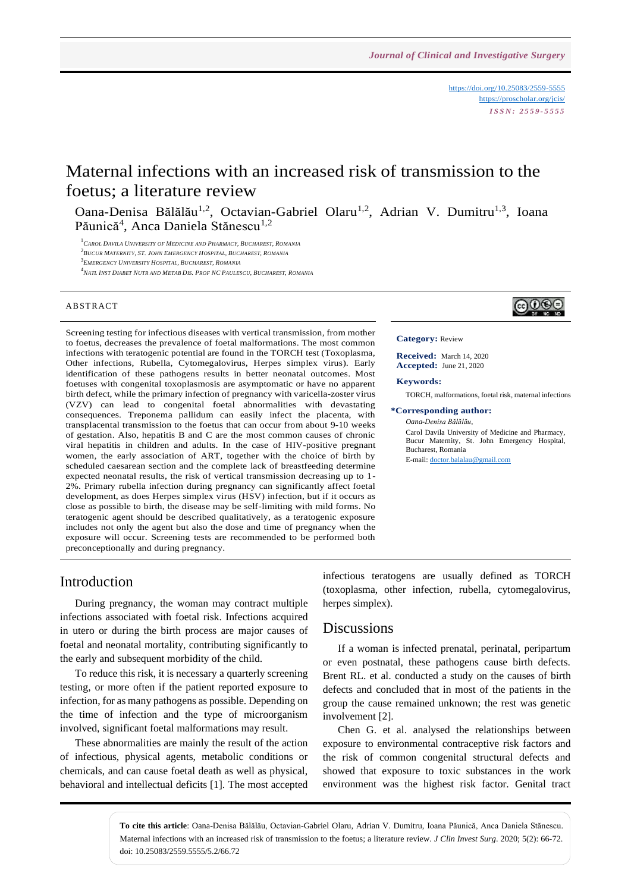<https://doi.org/10.25083/2559-5555> <https://proscholar.org/jcis/> *I S S N : 2 5 5 9 - 5 5 5 5*

# Maternal infections with an increased risk of transmission to the foetus; a literature review

Oana-Denisa Bălălău<sup>1,2</sup>, Octavian-Gabriel Olaru<sup>1,2</sup>, Adrian V. Dumitru<sup>1,3</sup>, Ioana Păunică<sup>4</sup>, Anca Daniela Stănescu<sup>1,2</sup>

<sup>1</sup>*CAROL DAVILA UNIVERSITY OF MEDICINE AND PHARMACY, BUCHAREST, ROMANIA*

2 *BUCUR MATERNITY, ST. JOHN EMERGENCY HOSPITAL, BUCHAREST, ROMANIA*

3 *EMERGENCY UNIVERSITY HOSPITAL, BUCHAREST, ROMANIA*

<sup>4</sup>NATL INST DIABET NUTR AND METAB DIS. PROF NC PAULESCU, BUCHAREST, ROMANIA

### **ABSTRACT**

Screening testing for infectious diseases with vertical transmission, from mother to foetus, decreases the prevalence of foetal malformations. The most common infections with teratogenic potential are found in the TORCH test (Toxoplasma, Other infections, Rubella, Cytomegalovirus, Herpes simplex virus). Early identification of these pathogens results in better neonatal outcomes. Most foetuses with congenital toxoplasmosis are asymptomatic or have no apparent birth defect, while the primary infection of pregnancy with varicella-zoster virus (VZV) can lead to congenital foetal abnormalities with devastating consequences. Treponema pallidum can easily infect the placenta, with transplacental transmission to the foetus that can occur from about 9-10 weeks of gestation. Also, hepatitis B and C are the most common causes of chronic viral hepatitis in children and adults. In the case of HIV-positive pregnant women, the early association of ART, together with the choice of birth by scheduled caesarean section and the complete lack of breastfeeding determine expected neonatal results, the risk of vertical transmission decreasing up to 1- 2%. Primary rubella infection during pregnancy can significantly affect foetal development, as does Herpes simplex virus (HSV) infection, but if it occurs as close as possible to birth, the disease may be self-limiting with mild forms. No teratogenic agent should be described qualitatively, as a teratogenic exposure includes not only the agent but also the dose and time of pregnancy when the exposure will occur. Screening tests are recommended to be performed both preconceptionally and during pregnancy.



#### **Category:** Review

**Received:** March 14, 2020 **Accepted:** June 21, 2020

### **Keywords:**

TORCH, malformations, foetal risk, maternal infections

**\*Corresponding author:** *Oana-Denisa Bălălău*,

> Carol Davila University of Medicine and Pharmacy, Bucur Maternity, St. John Emergency Hospital, Bucharest, Romania E-mail[: doctor.balalau@gmail.com](mailto:doctor.balalau@gmail.com)

## Introduction

During pregnancy, the woman may contract multiple infections associated with foetal risk. Infections acquired in utero or during the birth process are major causes of foetal and neonatal mortality, contributing significantly to the early and subsequent morbidity of the child.

To reduce this risk, it is necessary a quarterly screening testing, or more often if the patient reported exposure to infection, for as many pathogens as possible. Depending on the time of infection and the type of microorganism involved, significant foetal malformations may result.

These abnormalities are mainly the result of the action of infectious, physical agents, metabolic conditions or chemicals, and can cause foetal death as well as physical, behavioral and intellectual deficits [1]. The most accepted infectious teratogens are usually defined as TORCH (toxoplasma, other infection, rubella, cytomegalovirus, herpes simplex).

### Discussions

If a woman is infected prenatal, perinatal, peripartum or even postnatal, these pathogens cause birth defects. Brent RL. et al. conducted a study on the causes of birth defects and concluded that in most of the patients in the group the cause remained unknown; the rest was genetic involvement [2].

Chen G. et al. analysed the relationships between exposure to environmental contraceptive risk factors and the risk of common congenital structural defects and showed that exposure to toxic substances in the work environment was the highest risk factor. Genital tract

**To cite this article**: Oana-Denisa Bălălău, Octavian-Gabriel Olaru, Adrian V. Dumitru, Ioana Păunică, Anca Daniela Stănescu. Maternal infections with an increased risk of transmission to the foetus; a literature review. *J Clin Invest Surg*. 2020; 5(2): 66-72. doi: 10.25083/2559.5555/5.2/66.72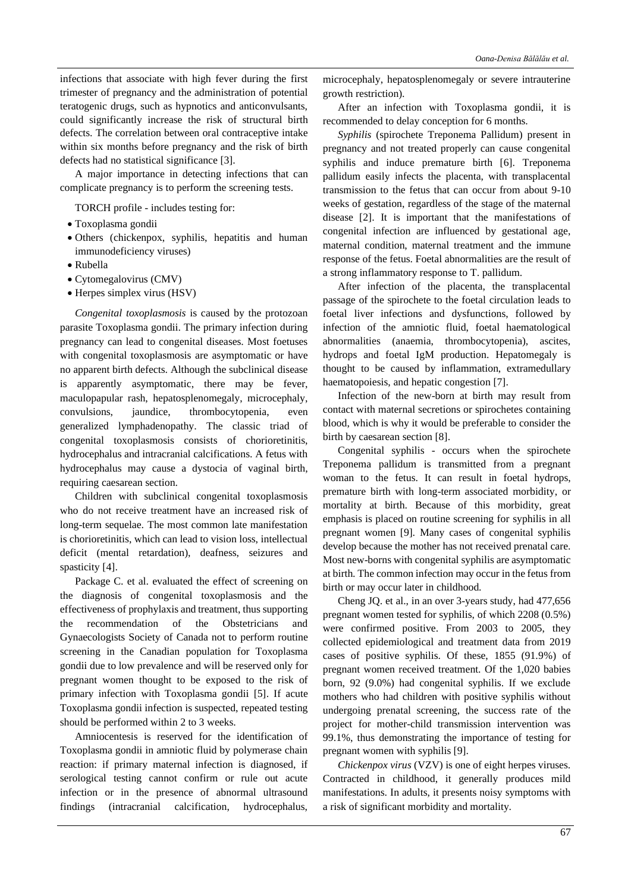infections that associate with high fever during the first trimester of pregnancy and the administration of potential teratogenic drugs, such as hypnotics and anticonvulsants, could significantly increase the risk of structural birth defects. The correlation between oral contraceptive intake within six months before pregnancy and the risk of birth defects had no statistical significance [3].

A major importance in detecting infections that can complicate pregnancy is to perform the screening tests.

TORCH profile - includes testing for:

- Toxoplasma gondii
- Others (chickenpox, syphilis, hepatitis and human immunodeficiency viruses)
- Rubella
- Cytomegalovirus (CMV)
- Herpes simplex virus (HSV)

*Congenital toxoplasmosis* is caused by the protozoan parasite Toxoplasma gondii. The primary infection during pregnancy can lead to congenital diseases. Most foetuses with congenital toxoplasmosis are asymptomatic or have no apparent birth defects. Although the subclinical disease is apparently asymptomatic, there may be fever, maculopapular rash, hepatosplenomegaly, microcephaly, convulsions, jaundice, thrombocytopenia, even generalized lymphadenopathy. The classic triad of congenital toxoplasmosis consists of chorioretinitis, hydrocephalus and intracranial calcifications. A fetus with hydrocephalus may cause a dystocia of vaginal birth, requiring caesarean section.

Children with subclinical congenital toxoplasmosis who do not receive treatment have an increased risk of long-term sequelae. The most common late manifestation is chorioretinitis, which can lead to vision loss, intellectual deficit (mental retardation), deafness, seizures and spasticity [4].

Package C. et al. evaluated the effect of screening on the diagnosis of congenital toxoplasmosis and the effectiveness of prophylaxis and treatment, thus supporting the recommendation of the Obstetricians and Gynaecologists Society of Canada not to perform routine screening in the Canadian population for Toxoplasma gondii due to low prevalence and will be reserved only for pregnant women thought to be exposed to the risk of primary infection with Toxoplasma gondii [5]. If acute Toxoplasma gondii infection is suspected, repeated testing should be performed within 2 to 3 weeks.

Amniocentesis is reserved for the identification of Toxoplasma gondii in amniotic fluid by polymerase chain reaction: if primary maternal infection is diagnosed, if serological testing cannot confirm or rule out acute infection or in the presence of abnormal ultrasound findings (intracranial calcification, hydrocephalus,

microcephaly, hepatosplenomegaly or severe intrauterine growth restriction).

After an infection with Toxoplasma gondii, it is recommended to delay conception for 6 months.

*Syphilis* (spirochete Treponema Pallidum) present in pregnancy and not treated properly can cause congenital syphilis and induce premature birth [6]. Treponema pallidum easily infects the placenta, with transplacental transmission to the fetus that can occur from about 9-10 weeks of gestation, regardless of the stage of the maternal disease [2]. It is important that the manifestations of congenital infection are influenced by gestational age, maternal condition, maternal treatment and the immune response of the fetus. Foetal abnormalities are the result of a strong inflammatory response to T. pallidum.

After infection of the placenta, the transplacental passage of the spirochete to the foetal circulation leads to foetal liver infections and dysfunctions, followed by infection of the amniotic fluid, foetal haematological abnormalities (anaemia, thrombocytopenia), ascites, hydrops and foetal IgM production. Hepatomegaly is thought to be caused by inflammation, extramedullary haematopoiesis, and hepatic congestion [7].

Infection of the new-born at birth may result from contact with maternal secretions or spirochetes containing blood, which is why it would be preferable to consider the birth by caesarean section [8].

Congenital syphilis - occurs when the spirochete Treponema pallidum is transmitted from a pregnant woman to the fetus. It can result in foetal hydrops, premature birth with long-term associated morbidity, or mortality at birth. Because of this morbidity, great emphasis is placed on routine screening for syphilis in all pregnant women [9]. Many cases of congenital syphilis develop because the mother has not received prenatal care. Most new-borns with congenital syphilis are asymptomatic at birth. The common infection may occur in the fetus from birth or may occur later in childhood.

Cheng JQ. et al., in an over 3-years study, had 477,656 pregnant women tested for syphilis, of which 2208 (0.5%) were confirmed positive. From 2003 to 2005, they collected epidemiological and treatment data from 2019 cases of positive syphilis. Of these, 1855 (91.9%) of pregnant women received treatment. Of the 1,020 babies born, 92 (9.0%) had congenital syphilis. If we exclude mothers who had children with positive syphilis without undergoing prenatal screening, the success rate of the project for mother-child transmission intervention was 99.1%, thus demonstrating the importance of testing for pregnant women with syphilis [9].

*Chickenpox virus* (VZV) is one of eight herpes viruses. Contracted in childhood, it generally produces mild manifestations. In adults, it presents noisy symptoms with a risk of significant morbidity and mortality.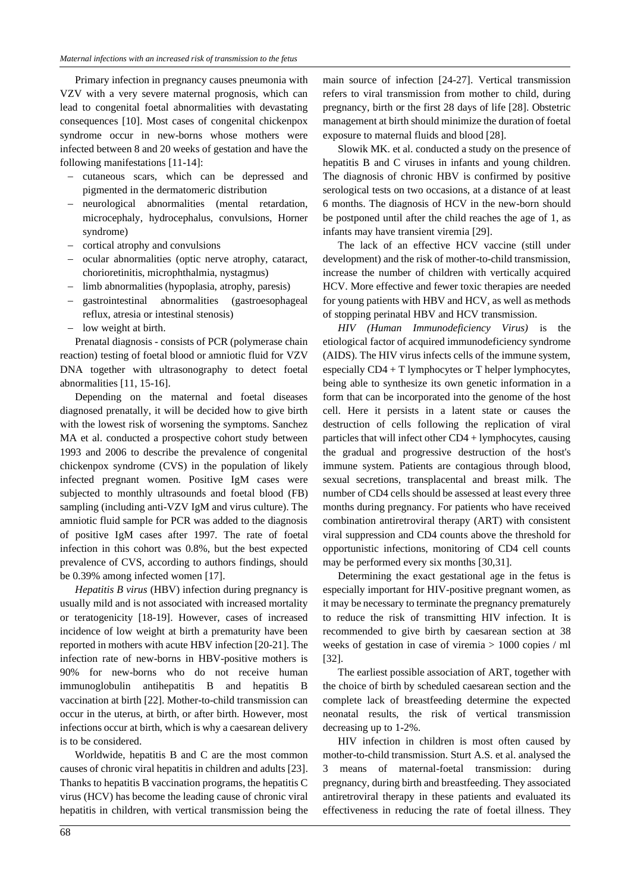Primary infection in pregnancy causes pneumonia with VZV with a very severe maternal prognosis, which can lead to congenital foetal abnormalities with devastating consequences [10]. Most cases of congenital chickenpox syndrome occur in new-borns whose mothers were infected between 8 and 20 weeks of gestation and have the following manifestations [11-14]:

- − cutaneous scars, which can be depressed and pigmented in the dermatomeric distribution
- neurological abnormalities (mental retardation, microcephaly, hydrocephalus, convulsions, Horner syndrome)
- − cortical atrophy and convulsions
- − ocular abnormalities (optic nerve atrophy, cataract, chorioretinitis, microphthalmia, nystagmus)
- − limb abnormalities (hypoplasia, atrophy, paresis)
- − gastrointestinal abnormalities (gastroesophageal reflux, atresia or intestinal stenosis)
- − low weight at birth.

Prenatal diagnosis - consists of PCR (polymerase chain reaction) testing of foetal blood or amniotic fluid for VZV DNA together with ultrasonography to detect foetal abnormalities [11, 15-16].

Depending on the maternal and foetal diseases diagnosed prenatally, it will be decided how to give birth with the lowest risk of worsening the symptoms. Sanchez MA et al. conducted a prospective cohort study between 1993 and 2006 to describe the prevalence of congenital chickenpox syndrome (CVS) in the population of likely infected pregnant women. Positive IgM cases were subjected to monthly ultrasounds and foetal blood (FB) sampling (including anti-VZV IgM and virus culture). The amniotic fluid sample for PCR was added to the diagnosis of positive IgM cases after 1997. The rate of foetal infection in this cohort was 0.8%, but the best expected prevalence of CVS, according to authors findings, should be 0.39% among infected women [17].

*Hepatitis B virus* (HBV) infection during pregnancy is usually mild and is not associated with increased mortality or teratogenicity [18-19]. However, cases of increased incidence of low weight at birth a prematurity have been reported in mothers with acute HBV infection [20-21]. The infection rate of new-borns in HBV-positive mothers is 90% for new-borns who do not receive human immunoglobulin antihepatitis B and hepatitis B vaccination at birth [22]. Mother-to-child transmission can occur in the uterus, at birth, or after birth. However, most infections occur at birth, which is why a caesarean delivery is to be considered.

Worldwide, hepatitis B and C are the most common causes of chronic viral hepatitis in children and adults [23]. Thanks to hepatitis B vaccination programs, the hepatitis C virus (HCV) has become the leading cause of chronic viral hepatitis in children, with vertical transmission being the

main source of infection [24-27]. Vertical transmission refers to viral transmission from mother to child, during pregnancy, birth or the first 28 days of life [28]. Obstetric management at birth should minimize the duration of foetal exposure to maternal fluids and blood [28].

Slowik MK. et al. conducted a study on the presence of hepatitis B and C viruses in infants and young children. The diagnosis of chronic HBV is confirmed by positive serological tests on two occasions, at a distance of at least 6 months. The diagnosis of HCV in the new-born should be postponed until after the child reaches the age of 1, as infants may have transient viremia [29].

The lack of an effective HCV vaccine (still under development) and the risk of mother-to-child transmission, increase the number of children with vertically acquired HCV. More effective and fewer toxic therapies are needed for young patients with HBV and HCV, as well as methods of stopping perinatal HBV and HCV transmission.

*HIV (Human Immunodeficiency Virus)* is the etiological factor of acquired immunodeficiency syndrome (AIDS). The HIV virus infects cells of the immune system, especially CD4 + T lymphocytes or T helper lymphocytes, being able to synthesize its own genetic information in a form that can be incorporated into the genome of the host cell. Here it persists in a latent state or causes the destruction of cells following the replication of viral particles that will infect other CD4 + lymphocytes, causing the gradual and progressive destruction of the host's immune system. Patients are contagious through blood, sexual secretions, transplacental and breast milk. The number of CD4 cells should be assessed at least every three months during pregnancy. For patients who have received combination antiretroviral therapy (ART) with consistent viral suppression and CD4 counts above the threshold for opportunistic infections, monitoring of CD4 cell counts may be performed every six months [30,31].

Determining the exact gestational age in the fetus is especially important for HIV-positive pregnant women, as it may be necessary to terminate the pregnancy prematurely to reduce the risk of transmitting HIV infection. It is recommended to give birth by caesarean section at 38 weeks of gestation in case of viremia > 1000 copies / ml [32].

The earliest possible association of ART, together with the choice of birth by scheduled caesarean section and the complete lack of breastfeeding determine the expected neonatal results, the risk of vertical transmission decreasing up to 1-2%.

HIV infection in children is most often caused by mother-to-child transmission. Sturt A.S. et al. analysed the 3 means of maternal-foetal transmission: during pregnancy, during birth and breastfeeding. They associated antiretroviral therapy in these patients and evaluated its effectiveness in reducing the rate of foetal illness. They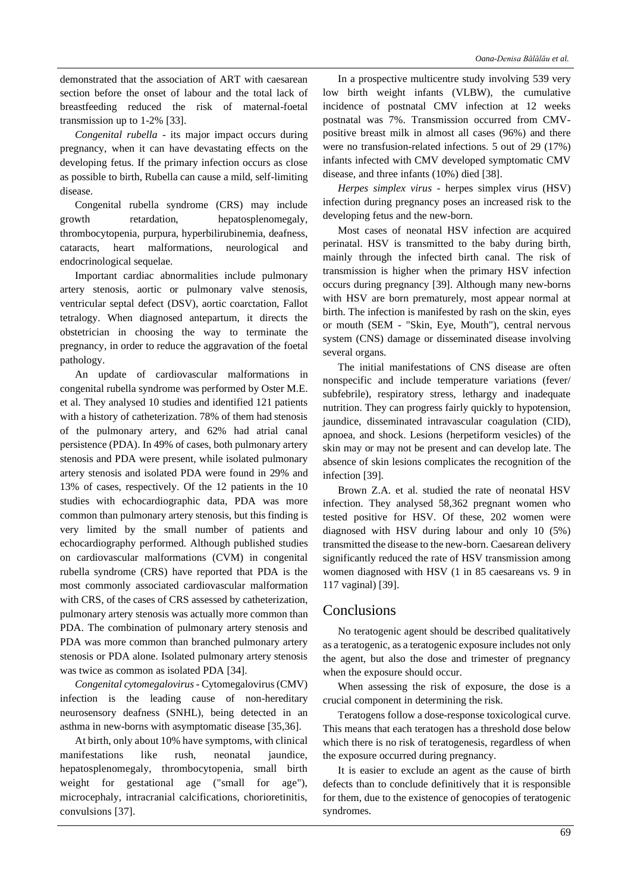demonstrated that the association of ART with caesarean section before the onset of labour and the total lack of breastfeeding reduced the risk of maternal-foetal transmission up to 1-2% [33].

*Congenital rubella* - its major impact occurs during pregnancy, when it can have devastating effects on the developing fetus. If the primary infection occurs as close as possible to birth, Rubella can cause a mild, self-limiting disease.

Congenital rubella syndrome (CRS) may include growth retardation, hepatosplenomegaly, thrombocytopenia, purpura, hyperbilirubinemia, deafness, cataracts, heart malformations, neurological and endocrinological sequelae.

Important cardiac abnormalities include pulmonary artery stenosis, aortic or pulmonary valve stenosis, ventricular septal defect (DSV), aortic coarctation, Fallot tetralogy. When diagnosed antepartum, it directs the obstetrician in choosing the way to terminate the pregnancy, in order to reduce the aggravation of the foetal pathology.

An update of cardiovascular malformations in congenital rubella syndrome was performed by Oster M.E. et al. They analysed 10 studies and identified 121 patients with a history of catheterization. 78% of them had stenosis of the pulmonary artery, and 62% had atrial canal persistence (PDA). In 49% of cases, both pulmonary artery stenosis and PDA were present, while isolated pulmonary artery stenosis and isolated PDA were found in 29% and 13% of cases, respectively. Of the 12 patients in the 10 studies with echocardiographic data, PDA was more common than pulmonary artery stenosis, but this finding is very limited by the small number of patients and echocardiography performed. Although published studies on cardiovascular malformations (CVM) in congenital rubella syndrome (CRS) have reported that PDA is the most commonly associated cardiovascular malformation with CRS, of the cases of CRS assessed by catheterization, pulmonary artery stenosis was actually more common than PDA. The combination of pulmonary artery stenosis and PDA was more common than branched pulmonary artery stenosis or PDA alone. Isolated pulmonary artery stenosis was twice as common as isolated PDA [34].

*Congenital cytomegalovirus*- Cytomegalovirus (CMV) infection is the leading cause of non-hereditary neurosensory deafness (SNHL), being detected in an asthma in new-borns with asymptomatic disease [35,36].

At birth, only about 10% have symptoms, with clinical manifestations like rush, neonatal jaundice, hepatosplenomegaly, thrombocytopenia, small birth weight for gestational age ("small for age"), microcephaly, intracranial calcifications, chorioretinitis, convulsions [37].

In a prospective multicentre study involving 539 very low birth weight infants (VLBW), the cumulative incidence of postnatal CMV infection at 12 weeks postnatal was 7%. Transmission occurred from CMVpositive breast milk in almost all cases (96%) and there were no transfusion-related infections. 5 out of 29 (17%) infants infected with CMV developed symptomatic CMV disease, and three infants (10%) died [38].

*Herpes simplex virus* - herpes simplex virus (HSV) infection during pregnancy poses an increased risk to the developing fetus and the new-born.

Most cases of neonatal HSV infection are acquired perinatal. HSV is transmitted to the baby during birth, mainly through the infected birth canal. The risk of transmission is higher when the primary HSV infection occurs during pregnancy [39]. Although many new-borns with HSV are born prematurely, most appear normal at birth. The infection is manifested by rash on the skin, eyes or mouth (SEM - "Skin, Eye, Mouth"), central nervous system (CNS) damage or disseminated disease involving several organs.

The initial manifestations of CNS disease are often nonspecific and include temperature variations (fever/ subfebrile), respiratory stress, lethargy and inadequate nutrition. They can progress fairly quickly to hypotension, jaundice, disseminated intravascular coagulation (CID), apnoea, and shock. Lesions (herpetiform vesicles) of the skin may or may not be present and can develop late. The absence of skin lesions complicates the recognition of the infection [39].

Brown Z.A. et al. studied the rate of neonatal HSV infection. They analysed 58,362 pregnant women who tested positive for HSV. Of these, 202 women were diagnosed with HSV during labour and only 10 (5%) transmitted the disease to the new-born. Caesarean delivery significantly reduced the rate of HSV transmission among women diagnosed with HSV (1 in 85 caesareans vs. 9 in 117 vaginal) [39].

## **Conclusions**

No teratogenic agent should be described qualitatively as a teratogenic, as a teratogenic exposure includes not only the agent, but also the dose and trimester of pregnancy when the exposure should occur.

When assessing the risk of exposure, the dose is a crucial component in determining the risk.

Teratogens follow a dose-response toxicological curve. This means that each teratogen has a threshold dose below which there is no risk of teratogenesis, regardless of when the exposure occurred during pregnancy.

It is easier to exclude an agent as the cause of birth defects than to conclude definitively that it is responsible for them, due to the existence of genocopies of teratogenic syndromes.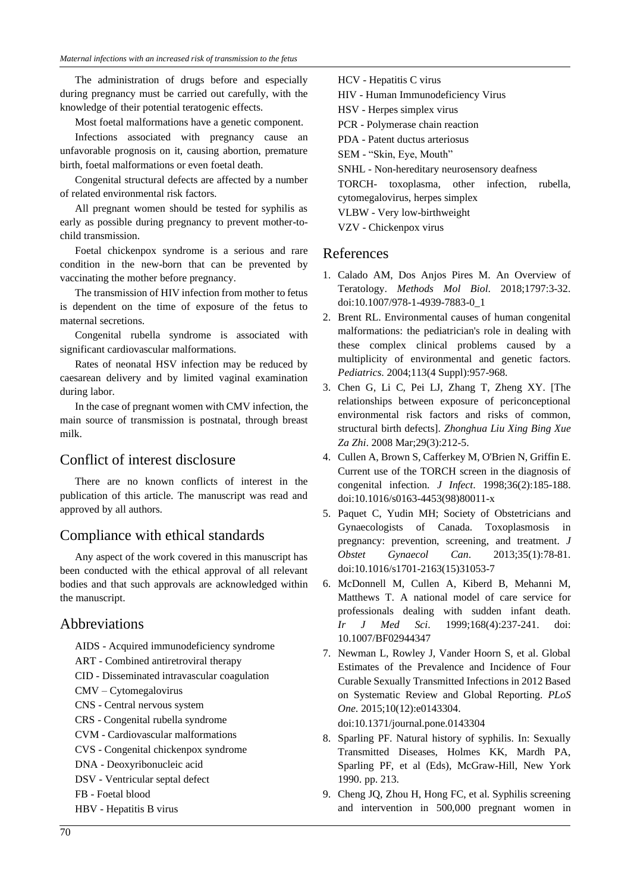The administration of drugs before and especially during pregnancy must be carried out carefully, with the knowledge of their potential teratogenic effects.

Most foetal malformations have a genetic component.

Infections associated with pregnancy cause an unfavorable prognosis on it, causing abortion, premature birth, foetal malformations or even foetal death.

Congenital structural defects are affected by a number of related environmental risk factors.

All pregnant women should be tested for syphilis as early as possible during pregnancy to prevent mother-tochild transmission.

Foetal chickenpox syndrome is a serious and rare condition in the new-born that can be prevented by vaccinating the mother before pregnancy.

The transmission of HIV infection from mother to fetus is dependent on the time of exposure of the fetus to maternal secretions.

Congenital rubella syndrome is associated with significant cardiovascular malformations.

Rates of neonatal HSV infection may be reduced by caesarean delivery and by limited vaginal examination during labor.

In the case of pregnant women with CMV infection, the main source of transmission is postnatal, through breast milk.

## Conflict of interest disclosure

There are no known conflicts of interest in the publication of this article. The manuscript was read and approved by all authors.

## Compliance with ethical standards

Any aspect of the work covered in this manuscript has been conducted with the ethical approval of all relevant bodies and that such approvals are acknowledged within the manuscript.

## Abbreviations

AIDS - Acquired immunodeficiency syndrome

ART - Combined antiretroviral therapy

- CID Disseminated intravascular coagulation
- CMV Cytomegalovirus
- CNS Central nervous system
- CRS Congenital rubella syndrome
- CVM Cardiovascular malformations
- CVS Congenital chickenpox syndrome
- DNA Deoxyribonucleic acid
- DSV Ventricular septal defect
- FB Foetal blood

HBV - Hepatitis B virus

HIV - Human Immunodeficiency Virus HSV - Herpes simplex virus PCR - Polymerase chain reaction PDA - Patent ductus arteriosus SEM - "Skin, Eye, Mouth" SNHL - Non-hereditary neurosensory deafness TORCH- toxoplasma, other infection, rubella, cytomegalovirus, herpes simplex VLBW - Very low-birthweight VZV - Chickenpox virus

## References

HCV - Hepatitis C virus

- 1. Calado AM, Dos Anjos Pires M. An Overview of Teratology. *Methods Mol Biol*. 2018;1797:3-32. doi:10.1007/978-1-4939-7883-0\_1
- 2. Brent RL. Environmental causes of human congenital malformations: the pediatrician's role in dealing with these complex clinical problems caused by a multiplicity of environmental and genetic factors. *Pediatrics*. 2004;113(4 Suppl):957-968.
- 3. Chen G, Li C, Pei LJ, Zhang T, Zheng XY. [The relationships between exposure of periconceptional environmental risk factors and risks of common, structural birth defects]. *Zhonghua Liu Xing Bing Xue Za Zhi*. 2008 Mar;29(3):212-5.
- 4. Cullen A, Brown S, Cafferkey M, O'Brien N, Griffin E. Current use of the TORCH screen in the diagnosis of congenital infection. *J Infect*. 1998;36(2):185-188. doi:10.1016/s0163-4453(98)80011-x
- 5. Paquet C, Yudin MH; Society of Obstetricians and Gynaecologists of Canada. Toxoplasmosis in pregnancy: prevention, screening, and treatment. *J Obstet Gynaecol Can*. 2013;35(1):78-81. doi:10.1016/s1701-2163(15)31053-7
- 6. McDonnell M, Cullen A, Kiberd B, Mehanni M, Matthews T. A national model of care service for professionals dealing with sudden infant death. *Ir J Med Sci*. 1999;168(4):237-241. doi: 10.1007/BF02944347
- 7. Newman L, Rowley J, Vander Hoorn S, et al. Global Estimates of the Prevalence and Incidence of Four Curable Sexually Transmitted Infections in 2012 Based on Systematic Review and Global Reporting. *PLoS One*. 2015;10(12):e0143304.

doi:10.1371/journal.pone.0143304

- 8. Sparling PF. Natural history of syphilis. In: Sexually Transmitted Diseases, Holmes KK, Mardh PA, Sparling PF, et al (Eds), McGraw-Hill, New York 1990. pp. 213.
- 9. Cheng JQ, Zhou H, Hong FC, et al. Syphilis screening and intervention in 500,000 pregnant women in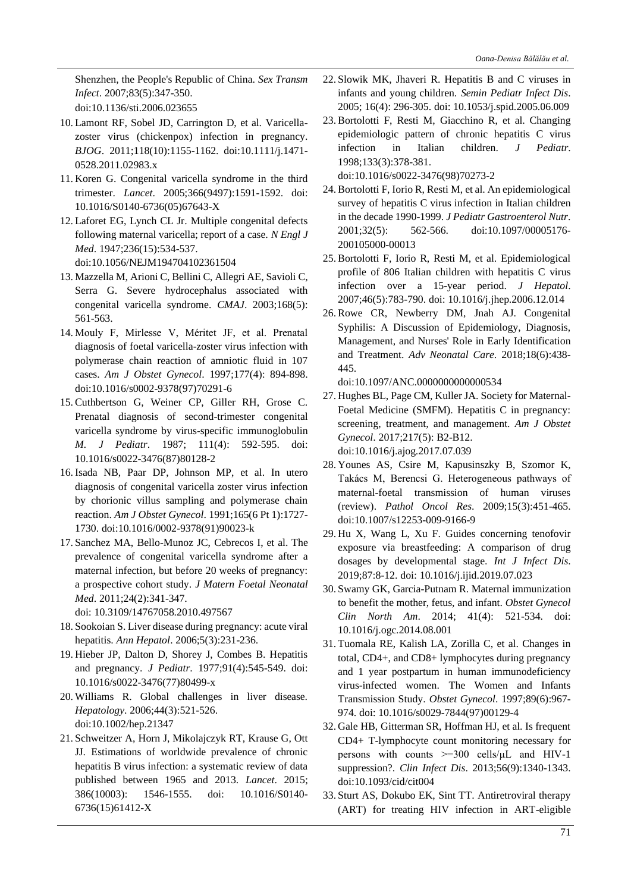Shenzhen, the People's Republic of China. *Sex Transm Infect*. 2007;83(5):347-350. doi:10.1136/sti.2006.023655

- 10. Lamont RF, Sobel JD, Carrington D, et al. Varicellazoster virus (chickenpox) infection in pregnancy. *BJOG*. 2011;118(10):1155-1162. doi:10.1111/j.1471- 0528.2011.02983.x
- 11. Koren G. Congenital varicella syndrome in the third trimester. *Lancet*. 2005;366(9497):1591-1592. doi: 10.1016/S0140-6736(05)67643-X
- 12. Laforet EG, Lynch CL Jr. Multiple congenital defects following maternal varicella; report of a case. *N Engl J Med*. 1947;236(15):534-537. doi:10.1056/NEJM194704102361504
- 13. Mazzella M, Arioni C, Bellini C, Allegri AE, Savioli C, Serra G. Severe hydrocephalus associated with congenital varicella syndrome. *CMAJ*. 2003;168(5): 561-563.
- 14. Mouly F, Mirlesse V, Méritet JF, et al. Prenatal diagnosis of foetal varicella-zoster virus infection with polymerase chain reaction of amniotic fluid in 107 cases. *Am J Obstet Gynecol*. 1997;177(4): 894-898. doi:10.1016/s0002-9378(97)70291-6
- 15. Cuthbertson G, Weiner CP, Giller RH, Grose C. Prenatal diagnosis of second-trimester congenital varicella syndrome by virus-specific immunoglobulin *M. J Pediatr*. 1987; 111(4): 592-595. doi: 10.1016/s0022-3476(87)80128-2
- 16. Isada NB, Paar DP, Johnson MP, et al. In utero diagnosis of congenital varicella zoster virus infection by chorionic villus sampling and polymerase chain reaction. *Am J Obstet Gynecol*. 1991;165(6 Pt 1):1727- 1730. doi:10.1016/0002-9378(91)90023-k
- 17.Sanchez MA, Bello-Munoz JC, Cebrecos I, et al. The prevalence of congenital varicella syndrome after a maternal infection, but before 20 weeks of pregnancy: a prospective cohort study. *J Matern Foetal Neonatal Med*. 2011;24(2):341-347.

doi: 10.3109/14767058.2010.497567

- 18.Sookoian S. Liver disease during pregnancy: acute viral hepatitis. *Ann Hepatol*. 2006;5(3):231-236.
- 19. Hieber JP, Dalton D, Shorey J, Combes B. Hepatitis and pregnancy. *J Pediatr*. 1977;91(4):545-549. doi: 10.1016/s0022-3476(77)80499-x
- 20. Williams R. Global challenges in liver disease. *Hepatology*. 2006;44(3):521-526. doi:10.1002/hep.21347
- 21.Schweitzer A, Horn J, Mikolajczyk RT, Krause G, Ott JJ. Estimations of worldwide prevalence of chronic hepatitis B virus infection: a systematic review of data published between 1965 and 2013. *Lancet*. 2015; 386(10003): 1546-1555. doi: 10.1016/S0140- 6736(15)61412-X
- 22.Slowik MK, Jhaveri R. Hepatitis B and C viruses in infants and young children. *Semin Pediatr Infect Dis*. 2005; 16(4): 296-305. doi: 10.1053/j.spid.2005.06.009
- 23. Bortolotti F, Resti M, Giacchino R, et al. Changing epidemiologic pattern of chronic hepatitis C virus infection in Italian children. *J Pediatr*. 1998;133(3):378-381. doi:10.1016/s0022-3476(98)70273-2
- 24. Bortolotti F, Iorio R, Resti M, et al. An epidemiological survey of hepatitis C virus infection in Italian children in the decade 1990-1999. *J Pediatr Gastroenterol Nutr*. 2001;32(5): 562-566. doi:10.1097/00005176- 200105000-00013
- 25. Bortolotti F, Iorio R, Resti M, et al. Epidemiological profile of 806 Italian children with hepatitis C virus infection over a 15-year period. *J Hepatol*. 2007;46(5):783-790. doi: 10.1016/j.jhep.2006.12.014
- 26. Rowe CR, Newberry DM, Jnah AJ. Congenital Syphilis: A Discussion of Epidemiology, Diagnosis, Management, and Nurses' Role in Early Identification and Treatment. *Adv Neonatal Care*. 2018;18(6):438- 445.

doi:10.1097/ANC.0000000000000534

- 27. Hughes BL, Page CM, Kuller JA. Society for Maternal-Foetal Medicine (SMFM). Hepatitis C in pregnancy: screening, treatment, and management. *Am J Obstet Gynecol*. 2017;217(5): B2-B12. doi:10.1016/j.ajog.2017.07.039
- 28. Younes AS, Csire M, Kapusinszky B, Szomor K, Takács M, Berencsi G. Heterogeneous pathways of maternal-foetal transmission of human viruses (review). *Pathol Oncol Res*. 2009;15(3):451-465. doi:10.1007/s12253-009-9166-9
- 29. Hu X, Wang L, Xu F. Guides concerning tenofovir exposure via breastfeeding: A comparison of drug dosages by developmental stage. *Int J Infect Dis*. 2019;87:8-12. doi: 10.1016/j.ijid.2019.07.023
- 30.Swamy GK, Garcia-Putnam R. Maternal immunization to benefit the mother, fetus, and infant. *Obstet Gynecol Clin North Am*. 2014; 41(4): 521-534. doi: 10.1016/j.ogc.2014.08.001
- 31. Tuomala RE, Kalish LA, Zorilla C, et al. Changes in total, CD4+, and CD8+ lymphocytes during pregnancy and 1 year postpartum in human immunodeficiency virus-infected women. The Women and Infants Transmission Study. *Obstet Gynecol*. 1997;89(6):967- 974. doi: 10.1016/s0029-7844(97)00129-4
- 32. Gale HB, Gitterman SR, Hoffman HJ, et al. Is frequent CD4+ T-lymphocyte count monitoring necessary for persons with counts  $\geq 300$  cells/ $\mu$ L and HIV-1 suppression?. *Clin Infect Dis*. 2013;56(9):1340-1343. doi:10.1093/cid/cit004
- 33.Sturt AS, Dokubo EK, Sint TT. Antiretroviral therapy (ART) for treating HIV infection in ART-eligible